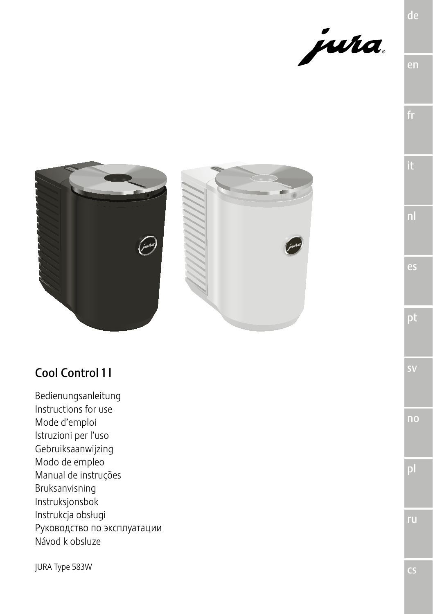





# Cool Control 11

Bedienungsanleitung Instructions for use Mode d'emploi Istruzioni per l'uso Gebruiksaanwijzing Modo de empleo Manual de instruções Bruksanvisning Instruksjonsbok Instrukcja obsługi Руководство по эксплуатации Návod k obsluze

**JURA Type 583W** 

ru.

de

es

pt

no

 $\overline{\mathsf{c}}$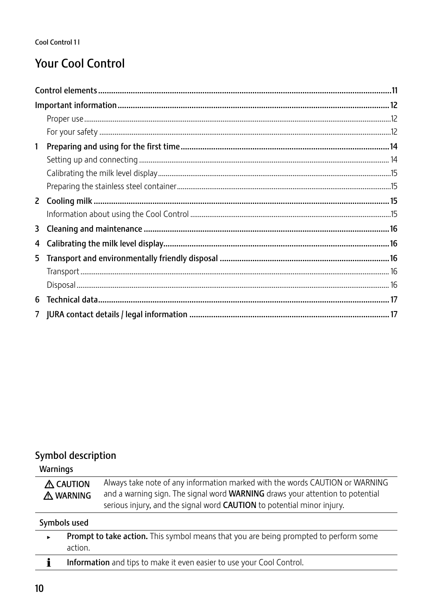# **Your Cool Control**

## Symbol description

Warnings

| A CAUTION | Always take note of any information marked with the words CAUTION or WARNING         |
|-----------|--------------------------------------------------------------------------------------|
| A WARNING | and a warning sign. The signal word <b>WARNING</b> draws your attention to potential |
|           | serious injury, and the signal word <b>CAUTION</b> to potential minor injury.        |
| .         |                                                                                      |

Symbols used

| Prompt to take action. This symbol means that you are being prompted to perform some |
|--------------------------------------------------------------------------------------|
| action.                                                                              |
|                                                                                      |

 $\mathbf{i}$ Information and tips to make it even easier to use your Cool Control.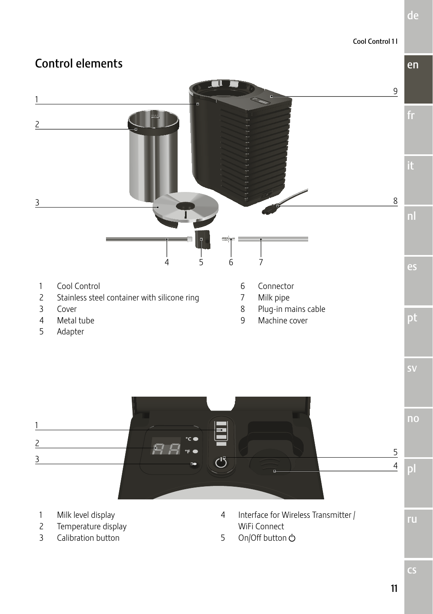# Cool Control 1 l en de

# Control elements



T

- Milk level display
- Temperature display
- Calibration button

WiFi Connect On/Off button Q ru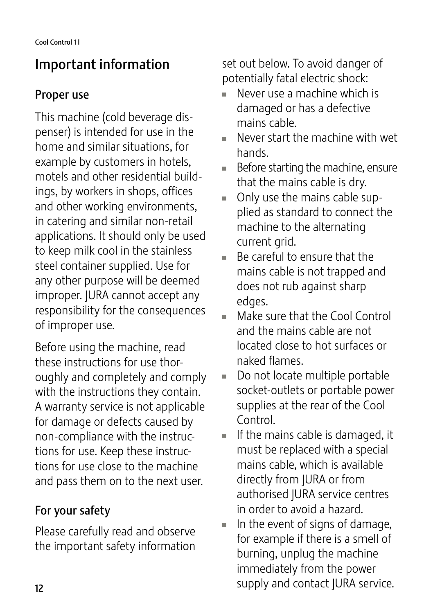# Important information

# Proper use

This machine (cold beverage dispenser) is intended for use in the home and similar situations, for example by customers in hotels, motels and other residential buildings, by workers in shops, offices and other working environments, in catering and similar non-retail applications. It should only be used to keep milk cool in the stainless steel container supplied. Use for any other purpose will be deemed improper. JURA cannot accept any responsibility for the consequences of improper use.

Before using the machine, read these instructions for use thoroughly and completely and comply with the instructions they contain. A warranty service is not applicable for damage or defects caused by non-compliance with the instructions for use. Keep these instructions for use close to the machine and pass them on to the next user.

# For your safety

Please carefully read and observe the important safety information set out below. To avoid danger of potentially fatal electric shock:

- Never use a machine which is damaged or has a defective mains cable.
- $\blacksquare$  Never start the machine with wet hands.
- $\blacksquare$  Before starting the machine, ensure that the mains cable is dry.
- $\blacksquare$  Only use the mains cable supplied as standard to connect the machine to the alternating current grid.
- U Be careful to ensure that the mains cable is not trapped and does not rub against sharp edges.
- Make sure that the Cool Control and the mains cable are not located close to hot surfaces or naked flames.
- $\blacksquare$  Do not locate multiple portable socket-outlets or portable power supplies at the rear of the Cool Control.
- If the mains cable is damaged, it must be replaced with a special mains cable, which is available directly from JURA or from authorised JURA service centres in order to avoid a hazard.
- In the event of signs of damage, for example if there is a smell of burning, unplug the machine immediately from the power supply and contact JURA service.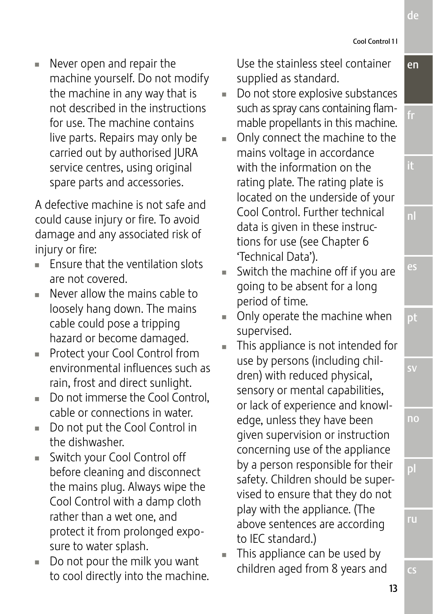ru

cs

en

de

fr

es

pt

sv

no

Cool Control 1 l

 $\blacksquare$  Never open and repair the machine yourself. Do not modify the machine in any way that is not described in the instructions for use. The machine contains live parts. Repairs may only be carried out by authorised JURA service centres, using original spare parts and accessories.

A defective machine is not safe and could cause injury or fire. To avoid damage and any associated risk of injury or fire:

- $\blacksquare$  Fnsure that the ventilation slots are not covered.
- Never allow the mains cable to loosely hang down. The mains cable could pose a tripping hazard or become damaged.
- **Protect your Cool Control from** environmental influences such as rain, frost and direct sunlight.
- $\blacksquare$  Do not immerse the Cool Control, cable or connections in water.
- Do not put the Cool Control in the dishwasher.
- Switch your Cool Control off before cleaning and disconnect the mains plug. Always wipe the Cool Control with a damp cloth rather than a wet one, and protect it from prolonged exposure to water splash.
- $\blacksquare$  Do not pour the milk you want to cool directly into the machine.

Use the stainless steel container supplied as standard.

- Do not store explosive substances such as spray cans containing flammable propellants in this machine.
- Only connect the machine to the mains voltage in accordance with the information on the rating plate. The rating plate is located on the underside of your Cool Control. Further technical data is given in these instructions for use (see Chapter 6 'Technical Data').
- $\blacksquare$  Switch the machine off if you are going to be absent for a long period of time.
- $\blacksquare$  Only operate the machine when supervised.
- This appliance is not intended for use by persons (including children) with reduced physical, sensory or mental capabilities, or lack of experience and knowledge, unless they have been given supervision or instruction concerning use of the appliance by a person responsible for their safety. Children should be supervised to ensure that they do not play with the appliance. (The above sentences are according to IEC standard.)
- This appliance can be used by children aged from 8 years and

13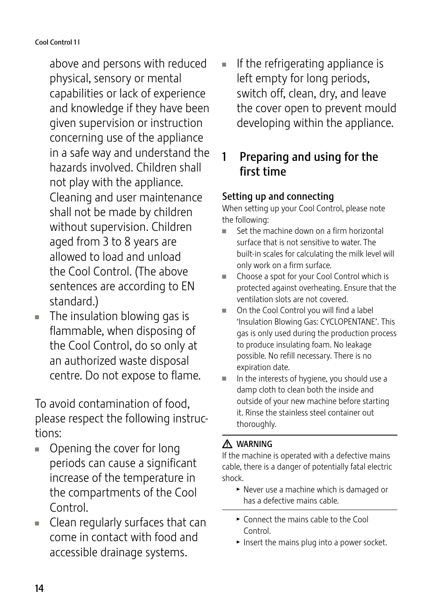above and persons with reduced physical, sensory or mental capabilities or lack of experience and knowledge if they have been given supervision or instruction concerning use of the appliance in a safe way and understand the hazards involved. Children shall not play with the appliance. Cleaning and user maintenance shall not be made by children without supervision. Children aged from 3 to 8 years are allowed to load and unload the Cool Control. (The above sentences are according to EN standard.)

 $\blacksquare$  The insulation blowing gas is flammable, when disposing of the Cool Control, do so only at an authorized waste disposal centre. Do not expose to flame.

To avoid contamination of food, please respect the following instructions:

- $\blacksquare$  Opening the cover for long periods can cause a significant increase of the temperature in the compartments of the Cool Control.
- $\blacksquare$  Clean regularly surfaces that can come in contact with food and accessible drainage systems.

 $\blacksquare$  If the refrigerating appliance is left empty for long periods, switch off, clean, dry, and leave the cover open to prevent mould developing within the appliance.

# 1 Preparing and using for the first time

## Setting up and connecting

When setting up your Cool Control, please note the following:

- Set the machine down on a firm horizontal surface that is not sensitive to water. The built-in scales for calculating the milk level will only work on a firm surface.
- Choose a spot for your Cool Control which is protected against overheating. Ensure that the ventilation slots are not covered.
- On the Cool Control you will find a label 'Insulation Blowing Gas: CYCLOPENTANE'. This gas is only used during the production process to produce insulating foam. No leakage possible. No refill necessary. There is no expiration date.
- In the interests of hygiene, you should use a damp cloth to clean both the inside and outside of your new machine before starting it. Rinse the stainless steel container out thoroughly.

## A WARNING

If the machine is operated with a defective mains cable, there is a danger of potentially fatal electric shock.

- $\blacktriangleright$  Never use a machine which is damaged or has a defective mains cable.
- $\triangleright$  Connect the mains cable to the Cool Control.
- $\blacktriangleright$  Insert the mains plug into a power socket.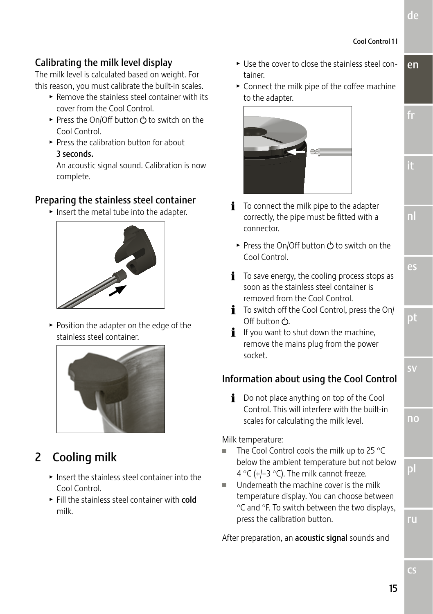fr

nl

es

pt

sv

no

pl

## Calibrating the milk level display

The milk level is calculated based on weight. For this reason, you must calibrate the built-in scales.

- $\blacktriangleright$  Remove the stainless steel container with its cover from the Cool Control.
- ► Press the On/Off button  $\bigcirc$  to switch on the Cool Control.
- $\triangleright$  Press the calibration button for about 3 seconds.

An acoustic signal sound. Calibration is now complete.

## Preparing the stainless steel container

 $\blacktriangleright$  Insert the metal tube into the adapter.



 $\blacktriangleright$  Position the adapter on the edge of the stainless steel container.



# 2 Cooling milk

- $\blacktriangleright$  Insert the stainless steel container into the Cool Control.
- $\blacktriangleright$  Fill the stainless steel container with cold milk.
- en  $\blacktriangleright$  Use the cover to close the stainless steel container.
- $\triangleright$  Connect the milk pipe of the coffee machine to the adapter.



- $\mathbf i$  To connect the milk pipe to the adapter correctly, the pipe must be fitted with a connector.
	- ► Press the On/Off button  $\bigcirc$  to switch on the Cool Control.
- $\mathbf{i}$  To save energy, the cooling process stops as soon as the stainless steel container is removed from the Cool Control.
- $\mathbf i$  To switch off the Cool Control, press the On/ Off button  $\mathcal{C}$ .
- $\mathbf{i}$  If you want to shut down the machine, remove the mains plug from the power socket.

## Information about using the Cool Control

 $\mathbf i$  Do not place anything on top of the Cool Control. This will interfere with the built-in scales for calculating the milk level.

#### Milk temperature:

- The Cool Control cools the milk up to 25  $\degree$ C below the ambient temperature but not below 4 °C (+/−3 °C). The milk cannot freeze.
- Underneath the machine cover is the milk temperature display. You can choose between °C and °F. To switch between the two displays, press the calibration button.

After preparation, an **acoustic signal** sounds and

cs

ru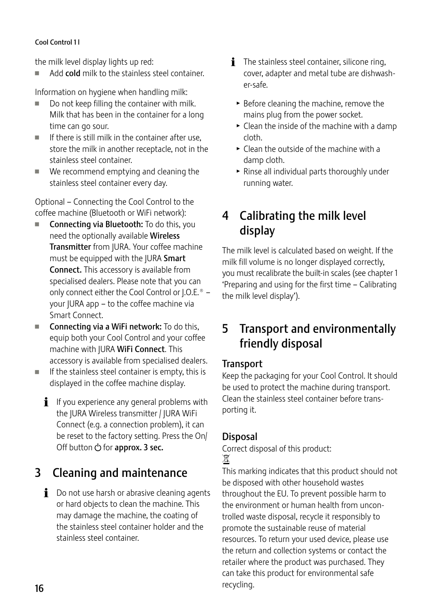#### Cool Control 1 l

the milk level display lights up red:

Add cold milk to the stainless steel container.

Information on hygiene when handling milk:

- $\blacksquare$  Do not keep filling the container with milk. Milk that has been in the container for a long time can go sour.
- $\blacksquare$  If there is still milk in the container after use, store the milk in another receptacle, not in the stainless steel container.
- $\blacksquare$  We recommend emptying and cleaning the stainless steel container every day.

Optional – Connecting the Cool Control to the coffee machine (Bluetooth or WiFi network):

- Connecting via Bluetooth: To do this, you need the optionally available Wireless Transmitter from JURA. Your coffee machine must be equipped with the JURA Smart Connect. This accessory is available from specialised dealers. Please note that you can only connect either the Cool Control or J.O.E.® – your JURA app – to the coffee machine via Smart Connect.
- $\blacksquare$  Connecting via a WiFi network: To do this, equip both your Cool Control and your coffee machine with JURA WiFi Connect. This accessory is available from specialised dealers.
- $\blacksquare$  If the stainless steel container is empty, this is displayed in the coffee machine display.
	- $\mathbf i$  If you experience any general problems with the JURA Wireless transmitter / JURA WiFi Connect (e.g. a connection problem), it can be reset to the factory setting. Press the On/ Off button (<sup>'</sup>) for approx. 3 sec.

# 3 Cleaning and maintenance

 $\mathbf{i}$  Do not use harsh or abrasive cleaning agents or hard objects to clean the machine. This may damage the machine, the coating of the stainless steel container holder and the stainless steel container.

- $\mathbf{i}$  The stainless steel container, silicone ring, cover, adapter and metal tube are dishwasher-safe.
	- $\blacktriangleright$  Before cleaning the machine, remove the mains plug from the power socket.
	- $\blacktriangleright$  Clean the inside of the machine with a damp cloth.
	- $\triangleright$  Clean the outside of the machine with a damp cloth.
	- $\blacktriangleright$  Rinse all individual parts thoroughly under running water.

# 4 Calibrating the milk level display

The milk level is calculated based on weight. If the milk fill volume is no longer displayed correctly, you must recalibrate the built-in scales (see chapter 1 'Preparing and using for the first time – Calibrating the milk level display').

# 5 Transport and environmentally friendly disposal

## **Transport**

Keep the packaging for your Cool Control. It should be used to protect the machine during transport. Clean the stainless steel container before transporting it.

## Disposal

Correct disposal of this product: H

This marking indicates that this product should not be disposed with other household wastes throughout the EU. To prevent possible harm to the environment or human health from uncontrolled waste disposal, recycle it responsibly to promote the sustainable reuse of material resources. To return your used device, please use the return and collection systems or contact the retailer where the product was purchased. They can take this product for environmental safe recycling.